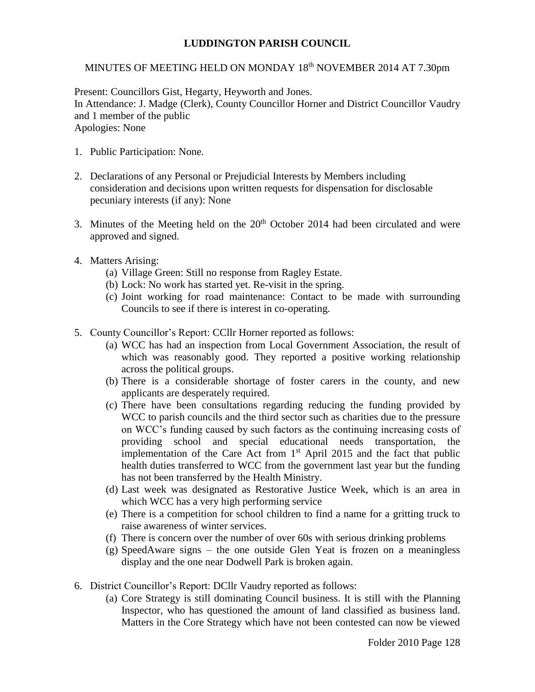## **LUDDINGTON PARISH COUNCIL**

## MINUTES OF MEETING HELD ON MONDAY 18<sup>th</sup> NOVEMBER 2014 AT 7.30pm

Present: Councillors Gist, Hegarty, Heyworth and Jones. In Attendance: J. Madge (Clerk), County Councillor Horner and District Councillor Vaudry and 1 member of the public Apologies: None

- 1. Public Participation: None.
- 2. Declarations of any Personal or Prejudicial Interests by Members including consideration and decisions upon written requests for dispensation for disclosable pecuniary interests (if any): None
- 3. Minutes of the Meeting held on the  $20<sup>th</sup>$  October 2014 had been circulated and were approved and signed.
- 4. Matters Arising:
	- (a) Village Green: Still no response from Ragley Estate.
	- (b) Lock: No work has started yet. Re-visit in the spring.
	- (c) Joint working for road maintenance: Contact to be made with surrounding Councils to see if there is interest in co-operating.
- 5. County Councillor's Report: CCllr Horner reported as follows:
	- (a) WCC has had an inspection from Local Government Association, the result of which was reasonably good. They reported a positive working relationship across the political groups.
	- (b) There is a considerable shortage of foster carers in the county, and new applicants are desperately required.
	- (c) There have been consultations regarding reducing the funding provided by WCC to parish councils and the third sector such as charities due to the pressure on WCC's funding caused by such factors as the continuing increasing costs of providing school and special educational needs transportation, the implementation of the Care Act from  $1<sup>st</sup>$  April 2015 and the fact that public health duties transferred to WCC from the government last year but the funding has not been transferred by the Health Ministry.
	- (d) Last week was designated as Restorative Justice Week, which is an area in which WCC has a very high performing service
	- (e) There is a competition for school children to find a name for a gritting truck to raise awareness of winter services.
	- (f) There is concern over the number of over 60s with serious drinking problems
	- $(g)$  SpeedAware signs the one outside Glen Yeat is frozen on a meaningless display and the one near Dodwell Park is broken again.
- 6. District Councillor's Report: DCllr Vaudry reported as follows:
	- (a) Core Strategy is still dominating Council business. It is still with the Planning Inspector, who has questioned the amount of land classified as business land. Matters in the Core Strategy which have not been contested can now be viewed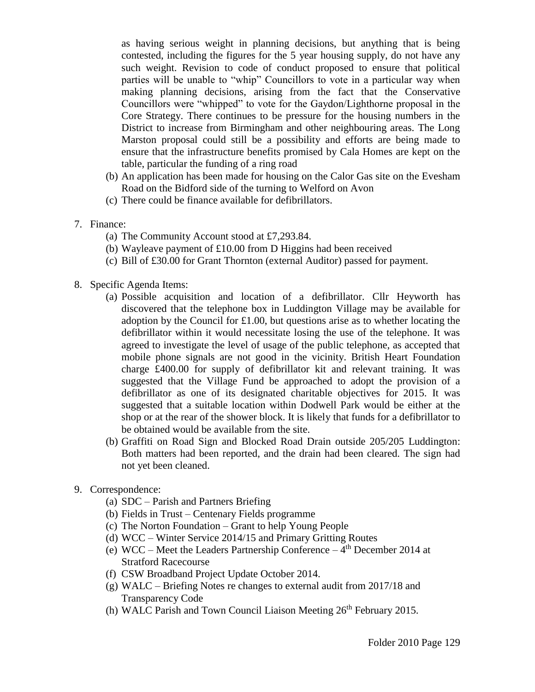as having serious weight in planning decisions, but anything that is being contested, including the figures for the 5 year housing supply, do not have any such weight. Revision to code of conduct proposed to ensure that political parties will be unable to "whip" Councillors to vote in a particular way when making planning decisions, arising from the fact that the Conservative Councillors were "whipped" to vote for the Gaydon/Lighthorne proposal in the Core Strategy. There continues to be pressure for the housing numbers in the District to increase from Birmingham and other neighbouring areas. The Long Marston proposal could still be a possibility and efforts are being made to ensure that the infrastructure benefits promised by Cala Homes are kept on the table, particular the funding of a ring road

- (b) An application has been made for housing on the Calor Gas site on the Evesham Road on the Bidford side of the turning to Welford on Avon
- (c) There could be finance available for defibrillators.
- 7. Finance:
	- (a) The Community Account stood at £7,293.84.
	- (b) Wayleave payment of £10.00 from D Higgins had been received
	- (c) Bill of £30.00 for Grant Thornton (external Auditor) passed for payment.
- 8. Specific Agenda Items:
	- (a) Possible acquisition and location of a defibrillator. Cllr Heyworth has discovered that the telephone box in Luddington Village may be available for adoption by the Council for £1.00, but questions arise as to whether locating the defibrillator within it would necessitate losing the use of the telephone. It was agreed to investigate the level of usage of the public telephone, as accepted that mobile phone signals are not good in the vicinity. British Heart Foundation charge £400.00 for supply of defibrillator kit and relevant training. It was suggested that the Village Fund be approached to adopt the provision of a defibrillator as one of its designated charitable objectives for 2015. It was suggested that a suitable location within Dodwell Park would be either at the shop or at the rear of the shower block. It is likely that funds for a defibrillator to be obtained would be available from the site.
	- (b) Graffiti on Road Sign and Blocked Road Drain outside 205/205 Luddington: Both matters had been reported, and the drain had been cleared. The sign had not yet been cleaned.
- 9. Correspondence:
	- (a) SDC Parish and Partners Briefing
	- (b) Fields in Trust Centenary Fields programme
	- (c) The Norton Foundation Grant to help Young People
	- (d) WCC Winter Service 2014/15 and Primary Gritting Routes
	- (e) WCC Meet the Leaders Partnership Conference  $4<sup>th</sup>$  December 2014 at Stratford Racecourse
	- (f) CSW Broadband Project Update October 2014.
	- (g) WALC Briefing Notes re changes to external audit from 2017/18 and Transparency Code
	- (h) WALC Parish and Town Council Liaison Meeting  $26<sup>th</sup>$  February 2015.